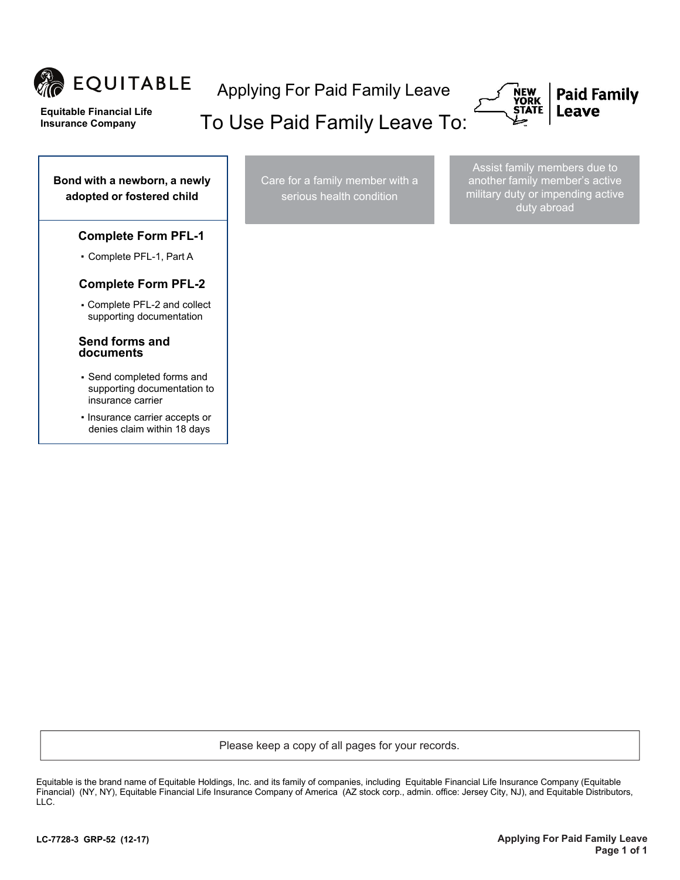

**Equitable Financial Life Insurance Company**

# Applying For Paid Family Leave To Use Paid Family Leave To:



**Bond with a newborn, a newly adopted or fostered child** 

# **Complete Form PFL-1**

**.** Complete PFL-1, Part A

# **Complete Form PFL-2**

**.** Complete PFL-2 and collect supporting documentation

#### **Send forms and documents**

- **.** Send completed forms and supporting documentation to insurance carrier
- **.** Insurance carrier accepts or denies claim within 18 days

Care for a family member with a serious health condition

Assist family members due to another family member's active military duty or impending active duty abroad

Please keep a copy of all pages for your records.

Equitable is the brand name of Equitable Holdings, Inc. and its family of companies, including Equitable Financial Life Insurance Company (Equitable Financial) (NY, NY), Equitable Financial Life Insurance Company of America (AZ stock corp., admin. office: Jersey City, NJ), and Equitable Distributors, LLC.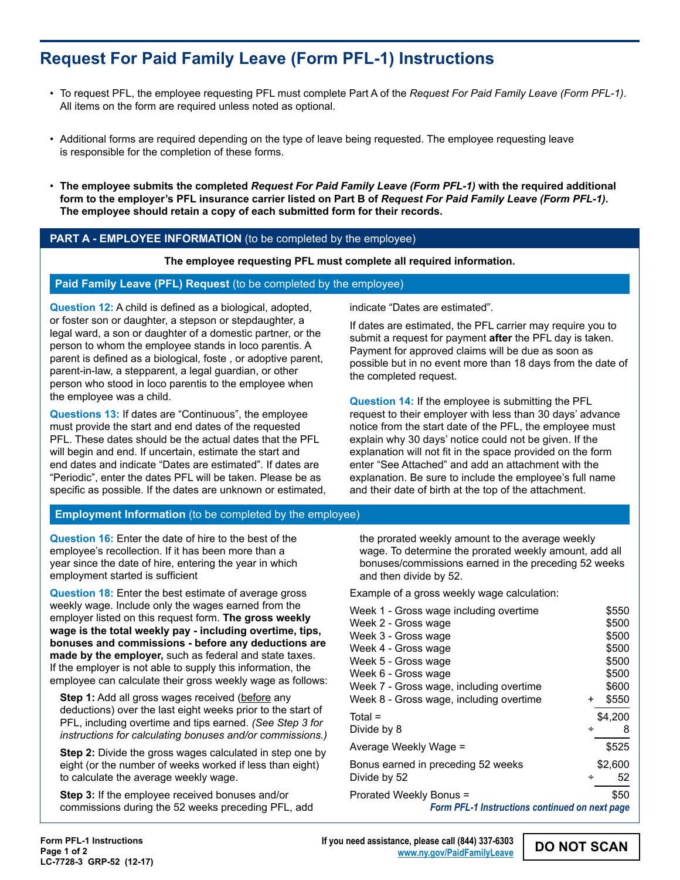# **Request For Paid Family Leave (Form PFL-1) Instructions**

- To request PFL, the employee requesting PFL must complete Part A of the *Request For Paid Family Leave (Form PFL-1)*. All items on the form are required unless noted as optional.
- Additional forms are required depending on the type of leave being requested. The employee requesting leave is responsible for the completion of these forms.
- **The employee submits the completed** *Request For Paid Family Leave (Form PFL-1)* **with the required additional form to the employer's PFL insurance carrier listed on Part B of** *Request For Paid Family Leave (Form PFL-1)***. The employee should retain a copy of each submitted form for their records.** •

## **PART A - EMPLOYEE INFORMATION** (to be completed by the employee)

**The employee requesting PFL must complete all required information.**

## **Paid Family Leave (PFL) Request** (to be completed by the employee)

**Question 12:** A child is defined as a biological, adopted, or foster son or daughter, a stepson or stepdaughter, a legal ward, a son or daughter of a domestic partner, or the person to whom the employee stands in loco parentis. A parent is defined as a biological, foste , or adoptive parent, parent-in-law, a stepparent, a legal guardian, or other person who stood in loco parentis to the employee when the employee was a child.

**Questions 13:** If dates are "Continuous", the employee must provide the start and end dates of the requested PFL. These dates should be the actual dates that the PFL will begin and end. If uncertain, estimate the start and end dates and indicate "Dates are estimated". If dates are "Periodic", enter the dates PFL will be taken. Please be as specific as possible. If the dates are unknown or estimated, indicate "Dates are estimated".

If dates are estimated, the PFL carrier may require you to submit a request for payment **after** the PFL day is taken. Payment for approved claims will be due as soon as possible but in no event more than 18 days from the date of the completed request.

**Question 14:** If the employee is submitting the PFL request to their employer with less than 30 days' advance notice from the start date of the PFL, the employee must explain why 30 days' notice could not be given. If the explanation will not fit in the space provided on the form enter "See Attached" and add an attachment with the explanation. Be sure to include the employee's full name and their date of birth at the top of the attachment.

#### **Employment Information** (to be completed by the employee)

**Question 16:** Enter the date of hire to the best of the employee's recollection. If it has been more than a year since the date of hire, entering the year in which employment started is sufficient

**Question 18:** Enter the best estimate of average gross weekly wage. Include only the wages earned from the employer listed on this request form. **The gross weekly wage is the total weekly pay - including overtime, tips, bonuses and commissions - before any deductions are made by the employer,** such as federal and state taxes. If the employer is not able to supply this information, the employee can calculate their gross weekly wage as follows:

**Step 1:** Add all gross wages received (before any deductions) over the last eight weeks prior to the start of PFL, including overtime and tips earned. *(See Step 3 for instructions for calculating bonuses and/or commissions.)*

**Step 2:** Divide the gross wages calculated in step one by eight (or the number of weeks worked if less than eight) to calculate the average weekly wage.

**Step 3:** If the employee received bonuses and/or commissions during the 52 weeks preceding PFL, add

the prorated weekly amount to the average weekly wage. To determine the prorated weekly amount, add all bonuses/commissions earned in the preceding 52 weeks and then divide by 52.

Example of a gross weekly wage calculation:

| Bonus earned in preceding 52 weeks                             |   |                |
|----------------------------------------------------------------|---|----------------|
|                                                                |   | \$2,600        |
| Average Weekly Wage =                                          |   | \$525          |
| Total $=$<br>Divide by 8                                       | ÷ | \$4,200<br>8   |
| Week 8 - Gross wage, including overtime                        | + | \$550          |
| Week 6 - Gross wage<br>Week 7 - Gross wage, including overtime |   | \$500<br>\$600 |
| Week 5 - Gross wage                                            |   | \$500          |
| Week 4 - Gross wage                                            |   | \$500          |
| Week 3 - Gross wage                                            |   | \$500          |
| Week 2 - Gross wage                                            |   | \$500          |
| Week 1 - Gross wage including overtime                         |   | \$550          |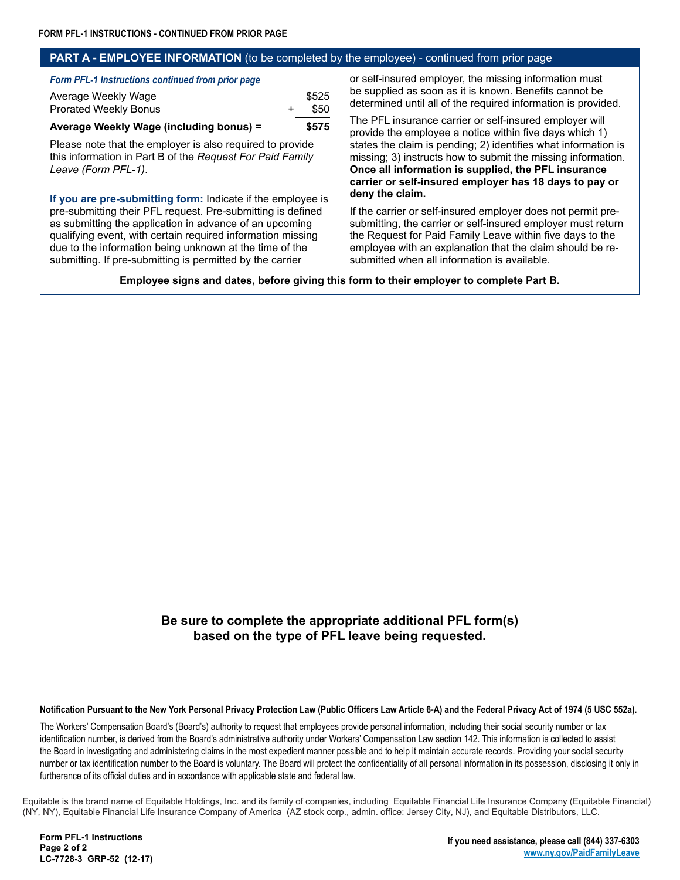## **PART A - EMPLOYEE INFORMATION** (to be completed by the employee) - continued from prior page

*Form PFL-1 Instructions continued from prior page*

| Average Weekly Wage (including bonus) = | \$575 |
|-----------------------------------------|-------|
| <b>Prorated Weekly Bonus</b>            | \$50  |
| Average Weekly Wage                     | \$525 |

Please note that the employer is also required to provide this information in Part B of the *Request For Paid Family Leave (Form PFL-1)*.

**If you are pre-submitting form:** Indicate if the employee is pre-submitting their PFL request. Pre-submitting is defined as submitting the application in advance of an upcoming qualifying event, with certain required information missing due to the information being unknown at the time of the submitting. If pre-submitting is permitted by the carrier

or self-insured employer, the missing information must be supplied as soon as it is known. Benefits cannot be determined until all of the required information is provided.

The PFL insurance carrier or self-insured employer will provide the employee a notice within five days which 1) states the claim is pending; 2) identifies what information is missing; 3) instructs how to submit the missing information. **Once all information is supplied, the PFL insurance carrier or self-insured employer has 18 days to pay or deny the claim.**

If the carrier or self-insured employer does not permit presubmitting, the carrier or self-insured employer must return the Request for Paid Family Leave within five days to the employee with an explanation that the claim should be resubmitted when all information is available.

**Employee signs and dates, before giving this form to their employer to complete Part B.**

# **Be sure to complete the appropriate additional PFL form(s) based on the type of PFL leave being requested.**

**Notification Pursuant to the New York Personal Privacy Protection Law (Public Officers Law Article 6-A) and the Federal Privacy Act of 1974 (5 USC 552a).**

The Workers' Compensation Board's (Board's) authority to request that employees provide personal information, including their social security number or tax identification number, is derived from the Board's administrative authority under Workers' Compensation Law section 142. This information is collected to assist the Board in investigating and administering claims in the most expedient manner possible and to help it maintain accurate records. Providing your social security number or tax identification number to the Board is voluntary. The Board will protect the confidentiality of all personal information in its possession, disclosing it only in furtherance of its official duties and in accordance with applicable state and federal law.

Equitable is the brand name of Equitable Holdings, Inc. and its family of companies, including Equitable Financial Life Insurance Company (Equitable Financial) (NY, NY), Equitable Financial Life Insurance Company of America (AZ stock corp., admin. office: Jersey City, NJ), and Equitable Distributors, LLC.

**Form PFL-1 Instructions Page 2 of 2 LC-7728-3 GRP-52 (12-17)**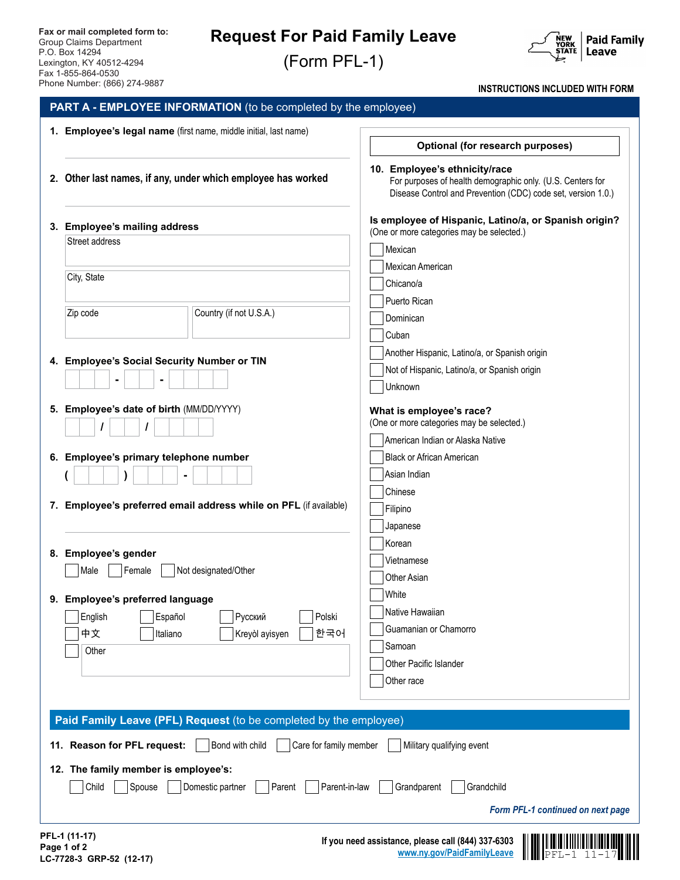# **Request For Paid Family Leave**

(Form PFL-1)



**INSTRUCTIONS INCLUDED WITH FORM**

|                               | <b>PART A - EMPLOYEE INFORMATION</b> (to be completed by the employee) |                                                                                                                                                             |
|-------------------------------|------------------------------------------------------------------------|-------------------------------------------------------------------------------------------------------------------------------------------------------------|
|                               | 1. Employee's legal name (first name, middle initial, last name)       | Optional (for research purposes)                                                                                                                            |
|                               | 2. Other last names, if any, under which employee has worked           | 10. Employee's ethnicity/race<br>For purposes of health demographic only. (U.S. Centers for<br>Disease Control and Prevention (CDC) code set, version 1.0.) |
| 3. Employee's mailing address |                                                                        | Is employee of Hispanic, Latino/a, or Spanish origin?<br>(One or more categories may be selected.)                                                          |
| Street address                |                                                                        | Mexican                                                                                                                                                     |
|                               |                                                                        | Mexican American                                                                                                                                            |
| City, State                   |                                                                        | Chicano/a                                                                                                                                                   |
|                               |                                                                        | Puerto Rican                                                                                                                                                |
| Zip code                      | Country (if not U.S.A.)                                                | Dominican                                                                                                                                                   |
|                               |                                                                        | Cuban                                                                                                                                                       |
|                               |                                                                        | Another Hispanic, Latino/a, or Spanish origin                                                                                                               |
|                               | 4. Employee's Social Security Number or TIN                            | Not of Hispanic, Latino/a, or Spanish origin                                                                                                                |
|                               |                                                                        | Unknown                                                                                                                                                     |
|                               | 5. Employee's date of birth (MM/DD/YYYY)                               | What is employee's race?                                                                                                                                    |
|                               |                                                                        | (One or more categories may be selected.)                                                                                                                   |
|                               |                                                                        | المتحدث والمتحدث والمستحدث                                                                                                                                  |

|  | 6. Employee's primary telephone number |  |  |  |  |
|--|----------------------------------------|--|--|--|--|
|  |                                        |  |  |  |  |

|  | 7. Employee's preferred email address while on PFL (if available) |  |  |  |  |  |  |  |  |  |
|--|-------------------------------------------------------------------|--|--|--|--|--|--|--|--|--|
|--|-------------------------------------------------------------------|--|--|--|--|--|--|--|--|--|

**English Español Pyccкий** Polski 中文 Italiano Kreyòl ayisyen 한국어

# **8. Employee's gender**

**Other** 

| Male | $\Box$ Female | Not designated/Other |
|------|---------------|----------------------|
|      |               |                      |

# **9. Employee's preferred language**

| Cuban                               |
|-------------------------------------|
| Another Hispanic, Latino/a, or Sp   |
| Not of Hispanic, Latino/a, or Spar  |
| Unknown                             |
| What is employee's race?            |
| (One or more categories may be sele |
| American Indian or Alaska Native    |
| Black or African American           |

| Asian Indian |  |
|--------------|--|

| Chinese |
|---------|
|         |

| Filipino |  |
|----------|--|
| Japanese |  |

| 1000       |
|------------|
|            |
| Vietnamese |

 $V_{\text{max}}$ 

**White** Native Hawaiian

Guamanian or Chamorro

| Guanianian or Ghaniont |  |  |
|------------------------|--|--|
|                        |  |  |

 Samoan Other Pacific Islander

Other race

| Paid Family Leave (PFL) Request (to be completed by the employee)                                     |  |  |  |  |
|-------------------------------------------------------------------------------------------------------|--|--|--|--|
| Bond with child<br>Care for family member<br>11. Reason for PFL request:<br>Military qualifying event |  |  |  |  |
| The family member is employee's:<br>12.                                                               |  |  |  |  |
| Domestic partner<br>Parent<br>Parent-in-law<br>Child<br>Grandchild<br>Spouse<br>Grandparent           |  |  |  |  |
| Form PFL-1 continued on next page                                                                     |  |  |  |  |

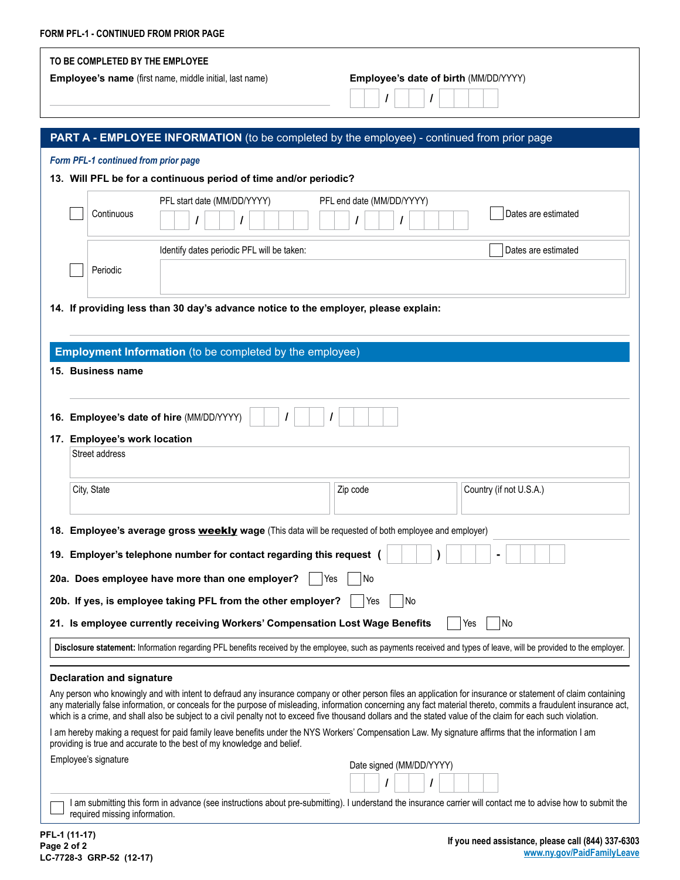| FORM PFL-1 - CONTINUED FROM PRIOR PAGE                                                                                                                                                                                        |                                                                                                                                                                                                                                                                                                                                                                                                                                                                                                      |
|-------------------------------------------------------------------------------------------------------------------------------------------------------------------------------------------------------------------------------|------------------------------------------------------------------------------------------------------------------------------------------------------------------------------------------------------------------------------------------------------------------------------------------------------------------------------------------------------------------------------------------------------------------------------------------------------------------------------------------------------|
| TO BE COMPLETED BY THE EMPLOYEE                                                                                                                                                                                               |                                                                                                                                                                                                                                                                                                                                                                                                                                                                                                      |
| Employee's name (first name, middle initial, last name)                                                                                                                                                                       | Employee's date of birth (MM/DD/YYYY)                                                                                                                                                                                                                                                                                                                                                                                                                                                                |
|                                                                                                                                                                                                                               | I                                                                                                                                                                                                                                                                                                                                                                                                                                                                                                    |
|                                                                                                                                                                                                                               |                                                                                                                                                                                                                                                                                                                                                                                                                                                                                                      |
| <b>PART A - EMPLOYEE INFORMATION</b> (to be completed by the employee) - continued from prior page                                                                                                                            |                                                                                                                                                                                                                                                                                                                                                                                                                                                                                                      |
| Form PFL-1 continued from prior page                                                                                                                                                                                          |                                                                                                                                                                                                                                                                                                                                                                                                                                                                                                      |
| 13. Will PFL be for a continuous period of time and/or periodic?                                                                                                                                                              |                                                                                                                                                                                                                                                                                                                                                                                                                                                                                                      |
|                                                                                                                                                                                                                               |                                                                                                                                                                                                                                                                                                                                                                                                                                                                                                      |
| PFL start date (MM/DD/YYYY)<br>Continuous                                                                                                                                                                                     | PFL end date (MM/DD/YYYY)<br>Dates are estimated                                                                                                                                                                                                                                                                                                                                                                                                                                                     |
|                                                                                                                                                                                                                               |                                                                                                                                                                                                                                                                                                                                                                                                                                                                                                      |
| Identify dates periodic PFL will be taken:                                                                                                                                                                                    | Dates are estimated                                                                                                                                                                                                                                                                                                                                                                                                                                                                                  |
| Periodic                                                                                                                                                                                                                      |                                                                                                                                                                                                                                                                                                                                                                                                                                                                                                      |
|                                                                                                                                                                                                                               |                                                                                                                                                                                                                                                                                                                                                                                                                                                                                                      |
| 14. If providing less than 30 day's advance notice to the employer, please explain:                                                                                                                                           |                                                                                                                                                                                                                                                                                                                                                                                                                                                                                                      |
|                                                                                                                                                                                                                               |                                                                                                                                                                                                                                                                                                                                                                                                                                                                                                      |
|                                                                                                                                                                                                                               |                                                                                                                                                                                                                                                                                                                                                                                                                                                                                                      |
| <b>Employment Information</b> (to be completed by the employee)                                                                                                                                                               |                                                                                                                                                                                                                                                                                                                                                                                                                                                                                                      |
| 15. Business name                                                                                                                                                                                                             |                                                                                                                                                                                                                                                                                                                                                                                                                                                                                                      |
|                                                                                                                                                                                                                               |                                                                                                                                                                                                                                                                                                                                                                                                                                                                                                      |
| 16. Employee's date of hire (MM/DD/YYYY)                                                                                                                                                                                      |                                                                                                                                                                                                                                                                                                                                                                                                                                                                                                      |
|                                                                                                                                                                                                                               |                                                                                                                                                                                                                                                                                                                                                                                                                                                                                                      |
| 17. Employee's work location<br>Street address                                                                                                                                                                                |                                                                                                                                                                                                                                                                                                                                                                                                                                                                                                      |
|                                                                                                                                                                                                                               |                                                                                                                                                                                                                                                                                                                                                                                                                                                                                                      |
| City, State                                                                                                                                                                                                                   | Country (if not U.S.A.)<br>Zip code                                                                                                                                                                                                                                                                                                                                                                                                                                                                  |
|                                                                                                                                                                                                                               |                                                                                                                                                                                                                                                                                                                                                                                                                                                                                                      |
|                                                                                                                                                                                                                               |                                                                                                                                                                                                                                                                                                                                                                                                                                                                                                      |
| 18. Employee's average gross <b>weekly wage</b> (This data will be requested of both employee and employer)                                                                                                                   |                                                                                                                                                                                                                                                                                                                                                                                                                                                                                                      |
| 19. Employer's telephone number for contact regarding this request (                                                                                                                                                          |                                                                                                                                                                                                                                                                                                                                                                                                                                                                                                      |
| 20a. Does employee have more than one employer?                                                                                                                                                                               | No<br>Yes                                                                                                                                                                                                                                                                                                                                                                                                                                                                                            |
|                                                                                                                                                                                                                               |                                                                                                                                                                                                                                                                                                                                                                                                                                                                                                      |
| 20b. If yes, is employee taking PFL from the other employer?                                                                                                                                                                  | No<br>Yes                                                                                                                                                                                                                                                                                                                                                                                                                                                                                            |
| 21. Is employee currently receiving Workers' Compensation Lost Wage Benefits                                                                                                                                                  | No<br>Yes                                                                                                                                                                                                                                                                                                                                                                                                                                                                                            |
|                                                                                                                                                                                                                               | Disclosure statement: Information regarding PFL benefits received by the employee, such as payments received and types of leave, will be provided to the employer.                                                                                                                                                                                                                                                                                                                                   |
|                                                                                                                                                                                                                               |                                                                                                                                                                                                                                                                                                                                                                                                                                                                                                      |
| <b>Declaration and signature</b>                                                                                                                                                                                              |                                                                                                                                                                                                                                                                                                                                                                                                                                                                                                      |
|                                                                                                                                                                                                                               | Any person who knowingly and with intent to defraud any insurance company or other person files an application for insurance or statement of claim containing<br>any materially false information, or conceals for the purpose of misleading, information concerning any fact material thereto, commits a fraudulent insurance act,<br>which is a crime, and shall also be subject to a civil penalty not to exceed five thousand dollars and the stated value of the claim for each such violation. |
| I am hereby making a request for paid family leave benefits under the NYS Workers' Compensation Law. My signature affirms that the information I am<br>providing is true and accurate to the best of my knowledge and belief. |                                                                                                                                                                                                                                                                                                                                                                                                                                                                                                      |
| Employee's signature                                                                                                                                                                                                          | Date signed (MM/DD/YYYY)                                                                                                                                                                                                                                                                                                                                                                                                                                                                             |
|                                                                                                                                                                                                                               | $\prime$                                                                                                                                                                                                                                                                                                                                                                                                                                                                                             |
|                                                                                                                                                                                                                               | I am submitting this form in advance (see instructions about pre-submitting). I understand the insurance carrier will contact me to advise how to submit the                                                                                                                                                                                                                                                                                                                                         |

J required missing information.

 $\overline{\mathsf{I}}$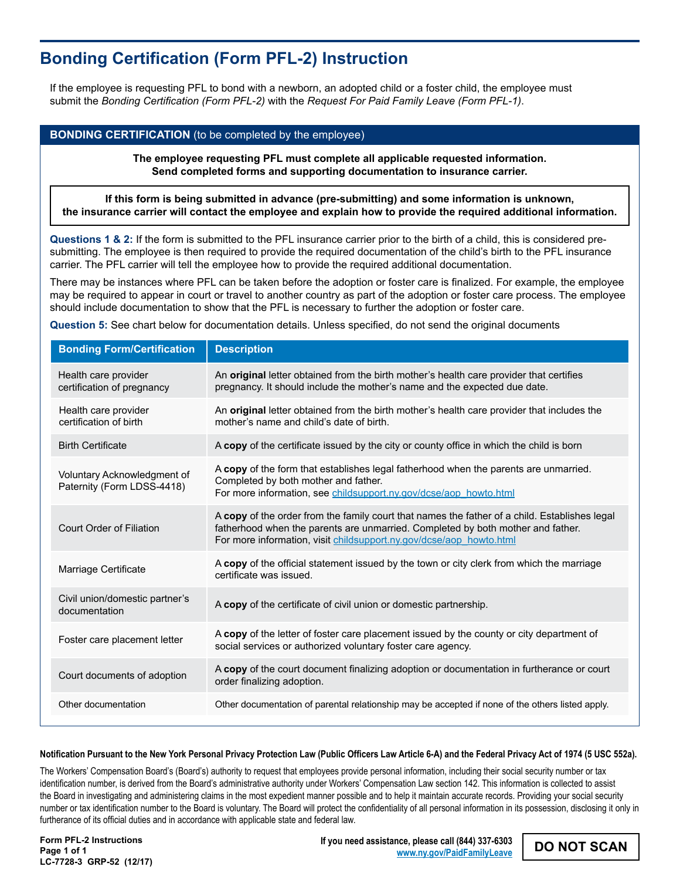# **Bonding Certification (Form PFL-2) Instruction**

If the employee is requesting PFL to bond with a newborn, an adopted child or a foster child, the employee must submit the *Bonding Certification (Form PFL-2)* with the *Request For Paid Family Leave (Form PFL-1)*.

#### **BONDING CERTIFICATION** (to be completed by the employee)

**The employee requesting PFL must complete all applicable requested information. Send completed forms and supporting documentation to insurance carrier.**

**If this form is being submitted in advance (pre-submitting) and some information is unknown, the insurance carrier will contact the employee and explain how to provide the required additional information.**

**Questions 1 & 2:** If the form is submitted to the PFL insurance carrier prior to the birth of a child, this is considered presubmitting. The employee is then required to provide the required documentation of the child's birth to the PFL insurance carrier. The PFL carrier will tell the employee how to provide the required additional documentation.

There may be instances where PFL can be taken before the adoption or foster care is finalized. For example, the employee may be required to appear in court or travel to another country as part of the adoption or foster care process. The employee should include documentation to show that the PFL is necessary to further the adoption or foster care.

**Question 5:** See chart below for documentation details. Unless specified, do not send the original documents

| <b>Bonding Form/Certification</b>                         | <b>Description</b>                                                                                                                                                                                                                                      |
|-----------------------------------------------------------|---------------------------------------------------------------------------------------------------------------------------------------------------------------------------------------------------------------------------------------------------------|
| Health care provider<br>certification of pregnancy        | An original letter obtained from the birth mother's health care provider that certifies<br>pregnancy. It should include the mother's name and the expected due date.                                                                                    |
| Health care provider<br>certification of birth            | An original letter obtained from the birth mother's health care provider that includes the<br>mother's name and child's date of birth.                                                                                                                  |
| <b>Birth Certificate</b>                                  | A copy of the certificate issued by the city or county office in which the child is born                                                                                                                                                                |
| Voluntary Acknowledgment of<br>Paternity (Form LDSS-4418) | A copy of the form that establishes legal fatherhood when the parents are unmarried.<br>Completed by both mother and father.<br>For more information, see childsupport.ny.gov/dcse/aop howto.html                                                       |
| <b>Court Order of Filiation</b>                           | A copy of the order from the family court that names the father of a child. Establishes legal<br>fatherhood when the parents are unmarried. Completed by both mother and father.<br>For more information, visit childsupport.ny.gov/dcse/aop howto.html |
| Marriage Certificate                                      | A copy of the official statement issued by the town or city clerk from which the marriage<br>certificate was issued.                                                                                                                                    |
| Civil union/domestic partner's<br>documentation           | A copy of the certificate of civil union or domestic partnership.                                                                                                                                                                                       |
| Foster care placement letter                              | A copy of the letter of foster care placement issued by the county or city department of<br>social services or authorized voluntary foster care agency.                                                                                                 |
| Court documents of adoption                               | A copy of the court document finalizing adoption or documentation in furtherance or court<br>order finalizing adoption.                                                                                                                                 |
| Other documentation                                       | Other documentation of parental relationship may be accepted if none of the others listed apply.                                                                                                                                                        |

#### **Notification Pursuant to the New York Personal Privacy Protection Law (Public Officers Law Article 6-A) and the Federal Privacy Act of 1974 (5 USC 552a).**

The Workers' Compensation Board's (Board's) authority to request that employees provide personal information, including their social security number or tax identification number, is derived from the Board's administrative authority under Workers' Compensation Law section 142. This information is collected to assist the Board in investigating and administering claims in the most expedient manner possible and to help it maintain accurate records. Providing your social security number or tax identification number to the Board is voluntary. The Board will protect the confidentiality of all personal information in its possession, disclosing it only in furtherance of its official duties and in accordance with applicable state and federal law.

**Form PFL-2 Instructions Page 1 of 1 LC-7728-3 GRP-52 (12/17)** **If you need assistance, please call (844) 337-6303 [www.ny.gov/PaidFamilyLeave](http://www.ny.gov/PaidFamilyLeave)**

**DO NOT SCAN**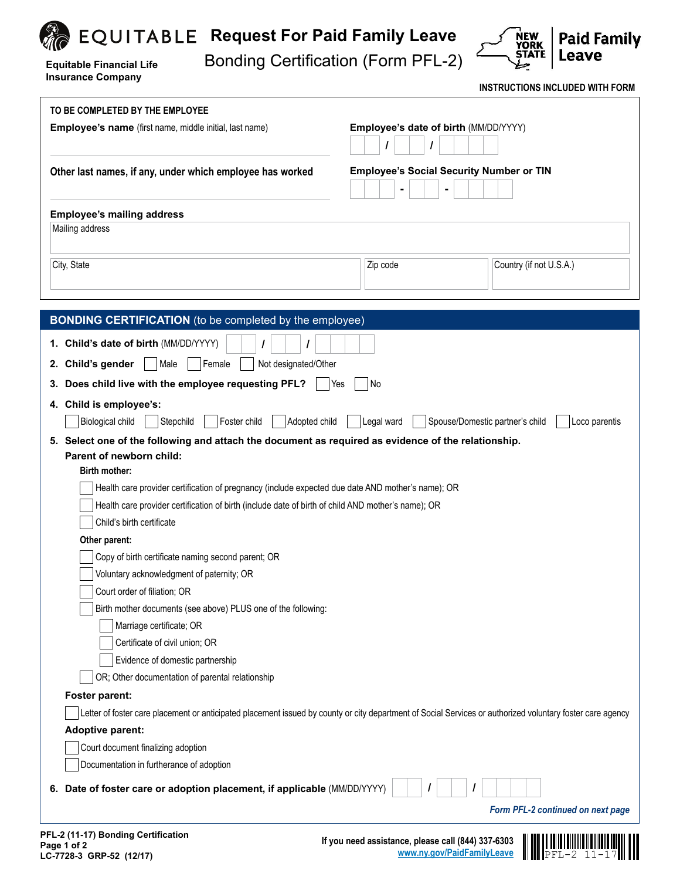| H.      |  |
|---------|--|
| UЛ<br>I |  |

**EQUITABLE Request For Paid Family Leave** 



Bonding Certification (Form PFL-2)

**Equitable Financial Life Insurance Company**

**INSTRUCTIONS INCLUDED WITH FORM**

| TO BE COMPLETED BY THE EMPLOYEE                                                                                                                            |                                                 |                                                  |
|------------------------------------------------------------------------------------------------------------------------------------------------------------|-------------------------------------------------|--------------------------------------------------|
| Employee's name (first name, middle initial, last name)                                                                                                    | Employee's date of birth (MM/DD/YYYY)           |                                                  |
|                                                                                                                                                            | I                                               |                                                  |
| Other last names, if any, under which employee has worked                                                                                                  | <b>Employee's Social Security Number or TIN</b> |                                                  |
|                                                                                                                                                            |                                                 |                                                  |
| <b>Employee's mailing address</b>                                                                                                                          |                                                 |                                                  |
| Mailing address                                                                                                                                            |                                                 |                                                  |
|                                                                                                                                                            |                                                 |                                                  |
| City, State                                                                                                                                                | Zip code                                        | Country (if not U.S.A.)                          |
|                                                                                                                                                            |                                                 |                                                  |
|                                                                                                                                                            |                                                 |                                                  |
| <b>BONDING CERTIFICATION</b> (to be completed by the employee)                                                                                             |                                                 |                                                  |
| 1. Child's date of birth (MM/DD/YYYY)<br>I                                                                                                                 |                                                 |                                                  |
| 2. Child's gender<br>Male<br>Female<br>Not designated/Other                                                                                                |                                                 |                                                  |
|                                                                                                                                                            |                                                 |                                                  |
| 3. Does child live with the employee requesting PFL?<br> Yes                                                                                               | No                                              |                                                  |
| 4. Child is employee's:                                                                                                                                    |                                                 |                                                  |
| Adopted child<br>Biological child<br>Stepchild<br>Foster child                                                                                             | Legal ward                                      | Spouse/Domestic partner's child<br>Loco parentis |
| 5. Select one of the following and attach the document as required as evidence of the relationship.                                                        |                                                 |                                                  |
| Parent of newborn child:<br><b>Birth mother:</b>                                                                                                           |                                                 |                                                  |
| Health care provider certification of pregnancy (include expected due date AND mother's name); OR                                                          |                                                 |                                                  |
| Health care provider certification of birth (include date of birth of child AND mother's name); OR                                                         |                                                 |                                                  |
| Child's birth certificate                                                                                                                                  |                                                 |                                                  |
| Other parent:                                                                                                                                              |                                                 |                                                  |
| Copy of birth certificate naming second parent; OR                                                                                                         |                                                 |                                                  |
| Voluntary acknowledgment of paternity; OR                                                                                                                  |                                                 |                                                  |
| Court order of filiation; OR                                                                                                                               |                                                 |                                                  |
| Birth mother documents (see above) PLUS one of the following:                                                                                              |                                                 |                                                  |
| Marriage certificate; OR                                                                                                                                   |                                                 |                                                  |
| Certificate of civil union; OR                                                                                                                             |                                                 |                                                  |
| Evidence of domestic partnership                                                                                                                           |                                                 |                                                  |
| OR; Other documentation of parental relationship                                                                                                           |                                                 |                                                  |
| Foster parent:                                                                                                                                             |                                                 |                                                  |
| Letter of foster care placement or anticipated placement issued by county or city department of Social Services or authorized voluntary foster care agency |                                                 |                                                  |
| <b>Adoptive parent:</b>                                                                                                                                    |                                                 |                                                  |
| Court document finalizing adoption                                                                                                                         |                                                 |                                                  |
| Documentation in furtherance of adoption                                                                                                                   |                                                 |                                                  |
| 6. Date of foster care or adoption placement, if applicable (MM/DD/YYYY)                                                                                   |                                                 |                                                  |
|                                                                                                                                                            |                                                 |                                                  |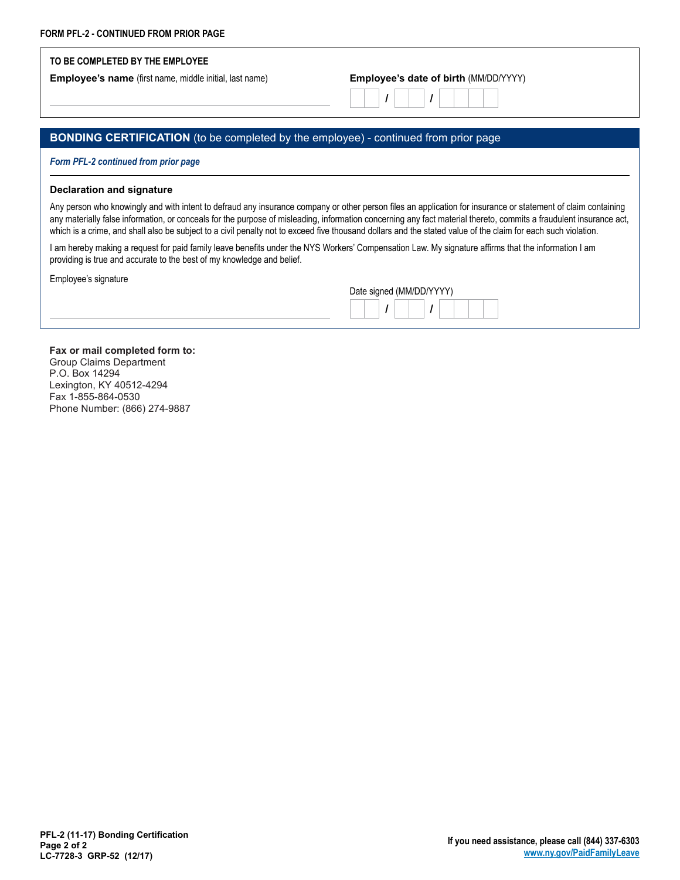#### **TO BE COMPLETED BY THE EMPLOYEE**

**Employee's name** (first name, middle initial, last name)

|  |  |  | Employee's date of birth (MM/DD/YYYY) |
|--|--|--|---------------------------------------|
|--|--|--|---------------------------------------|

**/ /**

# **BONDING CERTIFICATION** (to be completed by the employee) - continued from prior page

*Form PFL-2 continued from prior page*

#### **Declaration and signature**

Any person who knowingly and with intent to defraud any insurance company or other person files an application for insurance or statement of claim containing any materially false information, or conceals for the purpose of misleading, information concerning any fact material thereto, commits a fraudulent insurance act, which is a crime, and shall also be subject to a civil penalty not to exceed five thousand dollars and the stated value of the claim for each such violation.

I am hereby making a request for paid family leave benefits under the NYS Workers' Compensation Law. My signature affirms that the information I am providing is true and accurate to the best of my knowledge and belief.

Employee's signature

| Date signed (MM/DD/YYYY) |  |  |  |  |  |  |  |
|--------------------------|--|--|--|--|--|--|--|
|                          |  |  |  |  |  |  |  |

**Fax or mail completed form to:** Group Claims Department P.O. Box 14294 Lexington, KY 40512-4294 Fax 1-855-864-0530

Phone Number: (866) 274-9887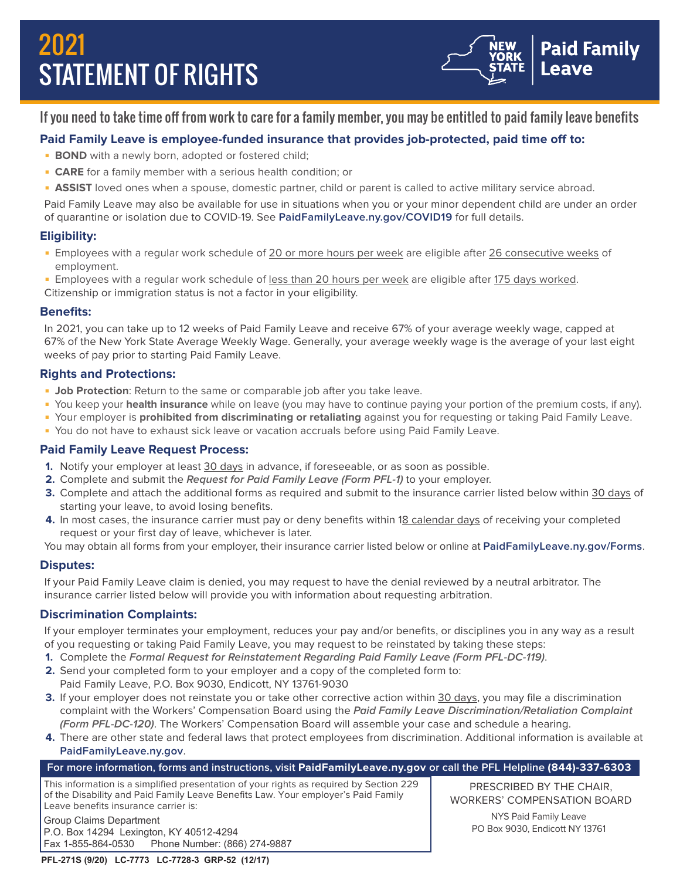# 2021 STATEMENT OF RIGHTS



# If you need to take time off from work to care for a family member, you may be entitled to paid family leave benefits

# **Paid Family Leave is employee-funded insurance that provides job-protected, paid time off to:**

- **BOND** with a newly born, adopted or fostered child;
- **CARE** for a family member with a serious health condition; or
- **ASSIST** loved ones when a spouse, domestic partner, child or parent is called to active military service abroad.

Paid Family Leave may also be available for use in situations when you or your minor dependent child are under an order of quarantine or isolation due to COVID-19. See **[PaidFamilyLeave.ny.gov/COVID19](http://PaidFamilyLeave.ny.gov/COVID19)** for full details.

# **Eligibility:**

- **Employees with a regular work schedule of 20 or more hours per week are eligible after 26 consecutive weeks of** employment.
- **Employees with a regular work schedule of less than 20 hours per week are eligible after 175 days worked.**
- Citizenship or immigration status is not a factor in your eligibility.

# **Benefits:**

In 2021, you can take up to 12 weeks of Paid Family Leave and receive 67% of your average weekly wage, capped at 67% of the New York State Average Weekly Wage. Generally, your average weekly wage is the average of your last eight weeks of pay prior to starting Paid Family Leave.

# **Rights and Protections:**

- **Job Protection**: Return to the same or comparable job after you take leave.
- You keep your **health insurance** while on leave (you may have to continue paying your portion of the premium costs, if any).
- Your employer is **prohibited from discriminating or retaliating** against you for requesting or taking Paid Family Leave.
- You do not have to exhaust sick leave or vacation accruals before using Paid Family Leave.

# **Paid Family Leave Request Process:**

- **1.** Notify your employer at least 30 days in advance, if foreseeable, or as soon as possible.
- **2.** Complete and submit the **Request for Paid Family Leave (Form PFL-1)** to your employer.
- **3.** Complete and attach the additional forms as required and submit to the insurance carrier listed below within 30 days of starting your leave, to avoid losing benefits.
- **4.** In most cases, the insurance carrier must pay or deny benefits within 18 calendar days of receiving your completed request or your first day of leave, whichever is later.
- You may obtain all forms from your employer, their insurance carrier listed below or online at **[PaidFamilyLeave.ny.gov/Forms](http://PaidFamilyLeave.ny.gov/Forms)**.

# **Disputes:**

If your Paid Family Leave claim is denied, you may request to have the denial reviewed by a neutral arbitrator. The insurance carrier listed below will provide you with information about requesting arbitration.

# **Discrimination Complaints:**

If your employer terminates your employment, reduces your pay and/or benefits, or disciplines you in any way as a result of you requesting or taking Paid Family Leave, you may request to be reinstated by taking these steps:

- **1.** Complete the **Formal Request for Reinstatement Regarding Paid Family Leave (Form PFL-DC-119)**.
- **2.** Send your completed form to your employer and a copy of the completed form to: Paid Family Leave, P.O. Box 9030, Endicott, NY 13761-9030
- **3.** If your employer does not reinstate you or take other corrective action within 30 days, you may file a discrimination complaint with the Workers' Compensation Board using the **Paid Family Leave Discrimination/Retaliation Complaint (Form PFL-DC-120)**. The Workers' Compensation Board will assemble your case and schedule a hearing.
- **4.** There are other state and federal laws that protect employees from discrimination. Additional information is available at **[PaidFamilyLeave.ny.gov](http://PaidFamilyLeave.ny.gov)**.

# **For more information, forms and instructions, visit [PaidFamilyLeave.ny.gov](http://PaidFamilyLeave.ny.gov) or call the PFL Helpline (844)-337-6303**

This information is a simplified presentation of your rights as required by Section 229 of the Disability and Paid Family Leave Benefits Law. Your employer's Paid Family Leave benefits insurance carrier is: Group Claims Department P.O. Box 14294 Lexington, KY 40512-4294 Fax 1-855-864-0530 Phone Number: (866) 274-9887

PRESCRIBED BY THE CHAIR, WORKERS' COMPENSATION BOARD

> NYS Paid Family Leave PO Box 9030, Endicott NY 13761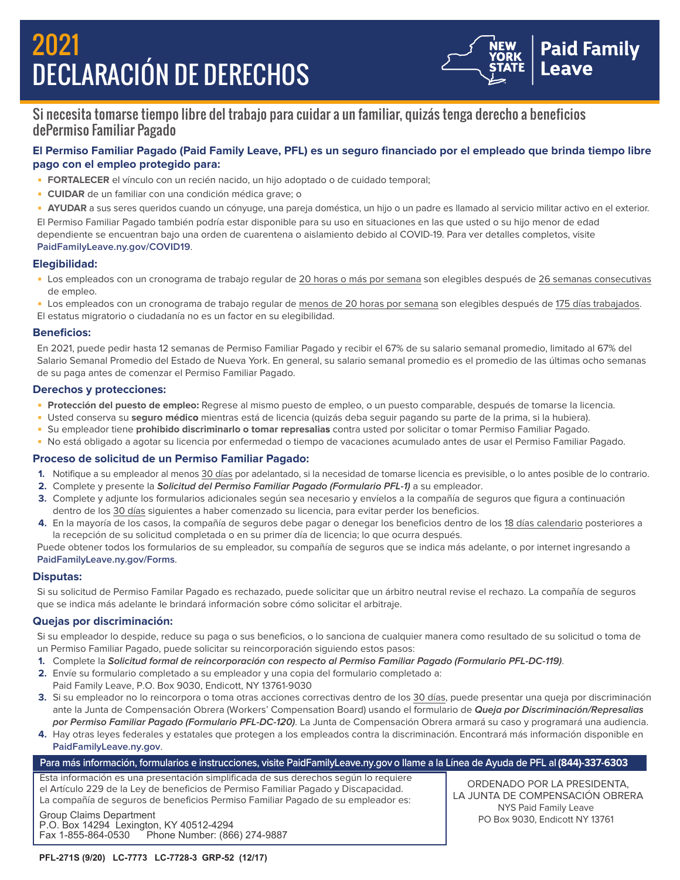# 2021 DECLARACIÓN DE DERECHOS



# Si necesita tomarse tiempo libre del trabajo para cuidar a un familiar, quizás tenga derecho a beneficios dePermiso Familiar Pagado

## **El Permiso Familiar Pagado (Paid Family Leave, PFL) es un seguro financiado por el empleado que brinda tiempo libre pago con el empleo protegido para:**

- **FORTALECER** el vínculo con un recién nacido, un hijo adoptado o de cuidado temporal;
- **CUIDAR** de un familiar con una condición médica grave; o

■ **AYUDAR** a sus seres queridos cuando un cónyuge, una pareja doméstica, un hijo o un padre es llamado al servicio militar activo en el exterior. El Permiso Familiar Pagado también podría estar disponible para su uso en situaciones en las que usted o su hijo menor de edad dependiente se encuentran bajo una orden de cuarentena o aislamiento debido al COVID-19. Para ver detalles completos, visite **[PaidFamilyLeave.ny.gov/COVID19](http://PaidFamilyLeave.ny.gov/COVID19)**.

## **Elegibilidad:**

- Los empleados con un cronograma de trabajo regular de 20 horas o más por semana son elegibles después de 26 semanas consecutivas de empleo.
- Los empleados con un cronograma de trabajo regular de menos de 20 horas por semana son elegibles después de 175 días trabajados. El estatus migratorio o ciudadanía no es un factor en su elegibilidad.

#### **Beneficios:**

En 2021, puede pedir hasta 12 semanas de Permiso Familiar Pagado y recibir el 67% de su salario semanal promedio, limitado al 67% del Salario Semanal Promedio del Estado de Nueva York. En general, su salario semanal promedio es el promedio de las últimas ocho semanas de su paga antes de comenzar el Permiso Familiar Pagado.

#### **Derechos y protecciones:**

- **Protección del puesto de empleo:** Regrese al mismo puesto de empleo, o un puesto comparable, después de tomarse la licencia.
- Usted conserva su **seguro médico** mientras está de licencia (quizás deba seguir pagando su parte de la prima, si la hubiera).
- Su empleador tiene **prohibido discriminarlo o tomar represalias** contra usted por solicitar o tomar Permiso Familiar Pagado.
- No está obligado a agotar su licencia por enfermedad o tiempo de vacaciones acumulado antes de usar el Permiso Familiar Pagado.

#### **Proceso de solicitud de un Permiso Familiar Pagado:**

- **1.** Notifique a su empleador al menos 30 días por adelantado, si la necesidad de tomarse licencia es previsible, o lo antes posible de lo contrario.
- **2.** Complete y presente la **Solicitud del Permiso Familiar Pagado (Formulario PFL-1)** a su empleador.
- **3.** Complete y adjunte los formularios adicionales según sea necesario y envíelos a la compañía de seguros que figura a continuación dentro de los 30 días siguientes a haber comenzado su licencia, para evitar perder los beneficios.
- **4.** En la mayoría de los casos, la compañía de seguros debe pagar o denegar los beneficios dentro de los 18 días calendario posteriores a la recepción de su solicitud completada o en su primer día de licencia; lo que ocurra después.

Puede obtener todos los formularios de su empleador, su compañía de seguros que se indica más adelante, o por internet ingresando a **[PaidFamilyLeave.ny.gov/Forms](http://PaidFamilyLeave.ny.gov/Forms)**.

#### **Disputas:**

Si su solicitud de Permiso Familar Pagado es rechazado, puede solicitar que un árbitro neutral revise el rechazo. La compañía de seguros que se indica más adelante le brindará información sobre cómo solicitar el arbitraje.

#### **Quejas por discriminación:**

Si su empleador lo despide, reduce su paga o sus beneficios, o lo sanciona de cualquier manera como resultado de su solicitud o toma de un Permiso Familiar Pagado, puede solicitar su reincorporación siguiendo estos pasos:

- **1.** Complete la **Solicitud formal de reincorporación con respecto al Permiso Familiar Pagado (Formulario PFL-DC-119)**.
- **2.** Envíe su formulario completado a su empleador y una copia del formulario completado a:
- Paid Family Leave, P.O. Box 9030, Endicott, NY 13761-9030
- **3.** Si su empleador no lo reincorpora o toma otras acciones correctivas dentro de los 30 días, puede presentar una queja por discriminación ante la Junta de Compensación Obrera (Workers' Compensation Board) usando el formulario de **Queja por Discriminación/Represalias por Permiso Familiar Pagado (Formulario PFL-DC-120)**. La Junta de Compensación Obrera armará su caso y programará una audiencia.
- **4.** Hay otras leyes federales y estatales que protegen a los empleados contra la discriminación. Encontrará más información disponible en **[PaidFamilyLeave.ny.gov](http://PaidFamilyLeave.ny.gov)**.

## **Para más información, formularios e instrucciones, visite [PaidFamilyLeave.ny.gov](http://PaidFamilyLeave.ny.gov) o llame a la Línea de Ayuda de PFL al (844)-337-6303**

Esta información es una presentación simplificada de sus derechos según lo requiere el Artículo 229 de la Ley de beneficios de Permiso Familiar Pagado y Discapacidad. La compañía de seguros de beneficios Permiso Familiar Pagado de su empleador es:

#### Group Claims Department P.O. Box 14294 Lexington, KY 40512-4294 Phone Number: (866) 274-9887

ORDENADO POR LA PRESIDENTA, LA JUNTA DE COMPENSACIÓN OBRERA NYS Paid Family Leave PO Box 9030, Endicott NY 13761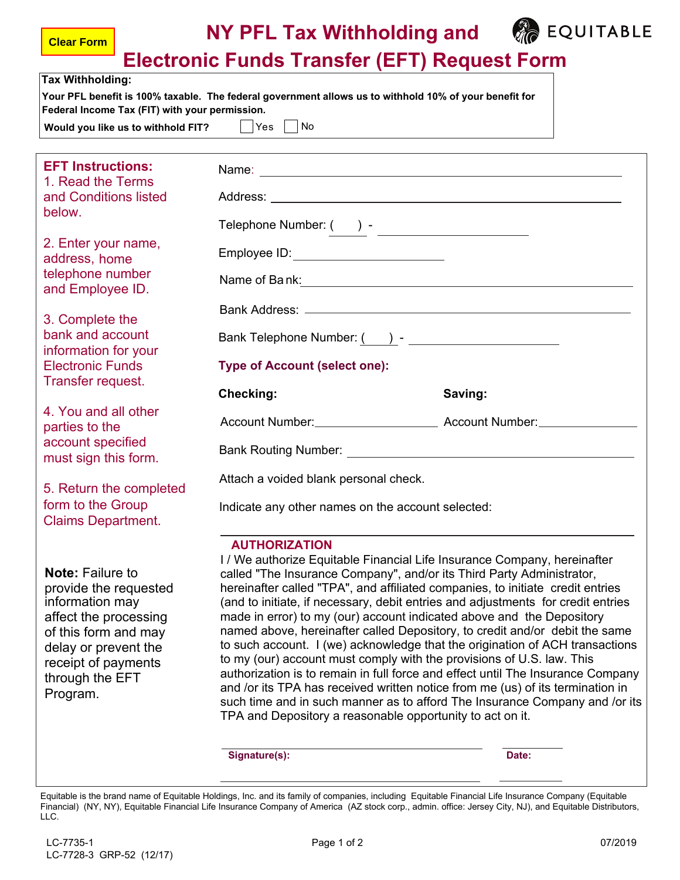

**Electronic Funds Transfer (EFT) Request Form**

|                                                                                                                                                                                                    | LIGUUUIIU I UIIUS TIAIISIGI (LI T) RGYUGSLI UIIII                                                                                                                                                                                                                                                                                                                                                                                                                                                                                                                                                                                                                                                                                                                                                                                                                                                                                                                                 |         |  |  |  |
|----------------------------------------------------------------------------------------------------------------------------------------------------------------------------------------------------|-----------------------------------------------------------------------------------------------------------------------------------------------------------------------------------------------------------------------------------------------------------------------------------------------------------------------------------------------------------------------------------------------------------------------------------------------------------------------------------------------------------------------------------------------------------------------------------------------------------------------------------------------------------------------------------------------------------------------------------------------------------------------------------------------------------------------------------------------------------------------------------------------------------------------------------------------------------------------------------|---------|--|--|--|
| <b>Tax Withholding:</b>                                                                                                                                                                            | Your PFL benefit is 100% taxable. The federal government allows us to withhold 10% of your benefit for                                                                                                                                                                                                                                                                                                                                                                                                                                                                                                                                                                                                                                                                                                                                                                                                                                                                            |         |  |  |  |
| Federal Income Tax (FIT) with your permission.                                                                                                                                                     |                                                                                                                                                                                                                                                                                                                                                                                                                                                                                                                                                                                                                                                                                                                                                                                                                                                                                                                                                                                   |         |  |  |  |
|                                                                                                                                                                                                    |                                                                                                                                                                                                                                                                                                                                                                                                                                                                                                                                                                                                                                                                                                                                                                                                                                                                                                                                                                                   |         |  |  |  |
|                                                                                                                                                                                                    |                                                                                                                                                                                                                                                                                                                                                                                                                                                                                                                                                                                                                                                                                                                                                                                                                                                                                                                                                                                   |         |  |  |  |
| <b>EFT Instructions:</b><br>1. Read the Terms                                                                                                                                                      |                                                                                                                                                                                                                                                                                                                                                                                                                                                                                                                                                                                                                                                                                                                                                                                                                                                                                                                                                                                   |         |  |  |  |
| and Conditions listed<br>below.                                                                                                                                                                    |                                                                                                                                                                                                                                                                                                                                                                                                                                                                                                                                                                                                                                                                                                                                                                                                                                                                                                                                                                                   |         |  |  |  |
|                                                                                                                                                                                                    | Telephone Number: ( ___) - _______________________                                                                                                                                                                                                                                                                                                                                                                                                                                                                                                                                                                                                                                                                                                                                                                                                                                                                                                                                |         |  |  |  |
| 2. Enter your name,<br>address, home                                                                                                                                                               | Employee ID: _________________________                                                                                                                                                                                                                                                                                                                                                                                                                                                                                                                                                                                                                                                                                                                                                                                                                                                                                                                                            |         |  |  |  |
| telephone number<br>and Employee ID.                                                                                                                                                               |                                                                                                                                                                                                                                                                                                                                                                                                                                                                                                                                                                                                                                                                                                                                                                                                                                                                                                                                                                                   |         |  |  |  |
| 3. Complete the                                                                                                                                                                                    |                                                                                                                                                                                                                                                                                                                                                                                                                                                                                                                                                                                                                                                                                                                                                                                                                                                                                                                                                                                   |         |  |  |  |
| bank and account<br>information for your                                                                                                                                                           |                                                                                                                                                                                                                                                                                                                                                                                                                                                                                                                                                                                                                                                                                                                                                                                                                                                                                                                                                                                   |         |  |  |  |
| <b>Electronic Funds</b><br>Transfer request.                                                                                                                                                       | <b>Type of Account (select one):</b>                                                                                                                                                                                                                                                                                                                                                                                                                                                                                                                                                                                                                                                                                                                                                                                                                                                                                                                                              |         |  |  |  |
|                                                                                                                                                                                                    | <b>Checking:</b>                                                                                                                                                                                                                                                                                                                                                                                                                                                                                                                                                                                                                                                                                                                                                                                                                                                                                                                                                                  | Saving: |  |  |  |
| 4. You and all other<br>parties to the                                                                                                                                                             | Account Number: Account Number:                                                                                                                                                                                                                                                                                                                                                                                                                                                                                                                                                                                                                                                                                                                                                                                                                                                                                                                                                   |         |  |  |  |
| account specified<br>must sign this form.                                                                                                                                                          |                                                                                                                                                                                                                                                                                                                                                                                                                                                                                                                                                                                                                                                                                                                                                                                                                                                                                                                                                                                   |         |  |  |  |
| 5. Return the completed                                                                                                                                                                            | Attach a voided blank personal check.                                                                                                                                                                                                                                                                                                                                                                                                                                                                                                                                                                                                                                                                                                                                                                                                                                                                                                                                             |         |  |  |  |
| form to the Group<br><b>Claims Department.</b>                                                                                                                                                     | Indicate any other names on the account selected:                                                                                                                                                                                                                                                                                                                                                                                                                                                                                                                                                                                                                                                                                                                                                                                                                                                                                                                                 |         |  |  |  |
| <b>Note: Failure to</b><br>provide the requested<br>information may<br>affect the processing<br>of this form and may<br>delay or prevent the<br>receipt of payments<br>through the EFT<br>Program. | <b>AUTHORIZATION</b><br>I / We authorize Equitable Financial Life Insurance Company, hereinafter<br>called "The Insurance Company", and/or its Third Party Administrator,<br>hereinafter called "TPA", and affiliated companies, to initiate credit entries<br>(and to initiate, if necessary, debit entries and adjustments for credit entries<br>made in error) to my (our) account indicated above and the Depository<br>named above, hereinafter called Depository, to credit and/or debit the same<br>to such account. I (we) acknowledge that the origination of ACH transactions<br>to my (our) account must comply with the provisions of U.S. law. This<br>authorization is to remain in full force and effect until The Insurance Company<br>and /or its TPA has received written notice from me (us) of its termination in<br>such time and in such manner as to afford The Insurance Company and /or its<br>TPA and Depository a reasonable opportunity to act on it. |         |  |  |  |

 **Signature(s): Date:** 

**Clear Form**

Equitable is the brand name of Equitable Holdings, Inc. and its family of companies, including Equitable Financial Life Insurance Company (Equitable Financial) (NY, NY), Equitable Financial Life Insurance Company of America (AZ stock corp., admin. office: Jersey City, NJ), and Equitable Distributors, LLC.